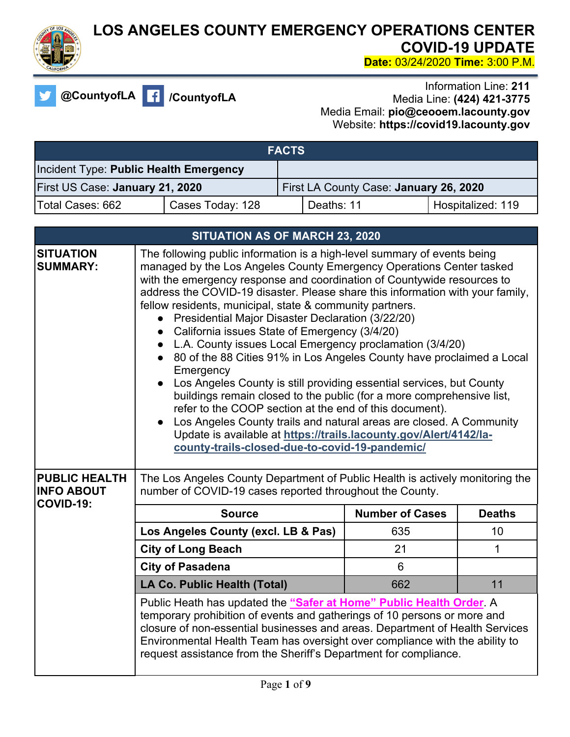

## **LOS ANGELES COUNTY EMERGENCY OPERATIONS CENTER COVID-19 UPDATE Date:** 03/24/2020 **Time:** 3:00 P.M.

**@CountyofLA /CountyofLA**

Information Line: **211** Media Line: **(424) 421-3775** Media Email: **pio@ceooem.lacounty.gov** Website: **https://covid19.lacounty.gov**

| <b>FACTS</b>                           |                  |                                        |            |                   |
|----------------------------------------|------------------|----------------------------------------|------------|-------------------|
| Incident Type: Public Health Emergency |                  |                                        |            |                   |
| First US Case: January 21, 2020        |                  | First LA County Case: January 26, 2020 |            |                   |
| Total Cases: 662                       | Cases Today: 128 |                                        | Deaths: 11 | Hospitalized: 119 |

| SITUATION AS OF MARCH 23, 2020                         |                                                                                                                                                                                                                                                                                                                                                                                                                                                                                                                                                                                                                                                                                                                                                                                                                                                                                                                                                                                                                                             |                        |               |
|--------------------------------------------------------|---------------------------------------------------------------------------------------------------------------------------------------------------------------------------------------------------------------------------------------------------------------------------------------------------------------------------------------------------------------------------------------------------------------------------------------------------------------------------------------------------------------------------------------------------------------------------------------------------------------------------------------------------------------------------------------------------------------------------------------------------------------------------------------------------------------------------------------------------------------------------------------------------------------------------------------------------------------------------------------------------------------------------------------------|------------------------|---------------|
| <b>SITUATION</b><br><b>SUMMARY:</b>                    | The following public information is a high-level summary of events being<br>managed by the Los Angeles County Emergency Operations Center tasked<br>with the emergency response and coordination of Countywide resources to<br>address the COVID-19 disaster. Please share this information with your family,<br>fellow residents, municipal, state & community partners.<br>Presidential Major Disaster Declaration (3/22/20)<br>California issues State of Emergency (3/4/20)<br>L.A. County issues Local Emergency proclamation (3/4/20)<br>80 of the 88 Cities 91% in Los Angeles County have proclaimed a Local<br>Emergency<br>Los Angeles County is still providing essential services, but County<br>buildings remain closed to the public (for a more comprehensive list,<br>refer to the COOP section at the end of this document).<br>Los Angeles County trails and natural areas are closed. A Community<br>Update is available at https://trails.lacounty.gov/Alert/4142/la-<br>county-trails-closed-due-to-covid-19-pandemic/ |                        |               |
| <b>PUBLIC HEALTH</b><br><b>INFO ABOUT</b><br>COVID-19: | The Los Angeles County Department of Public Health is actively monitoring the<br>number of COVID-19 cases reported throughout the County.                                                                                                                                                                                                                                                                                                                                                                                                                                                                                                                                                                                                                                                                                                                                                                                                                                                                                                   |                        |               |
|                                                        | <b>Source</b>                                                                                                                                                                                                                                                                                                                                                                                                                                                                                                                                                                                                                                                                                                                                                                                                                                                                                                                                                                                                                               | <b>Number of Cases</b> | <b>Deaths</b> |
|                                                        | Los Angeles County (excl. LB & Pas)                                                                                                                                                                                                                                                                                                                                                                                                                                                                                                                                                                                                                                                                                                                                                                                                                                                                                                                                                                                                         | 635                    | 10            |
|                                                        | <b>City of Long Beach</b>                                                                                                                                                                                                                                                                                                                                                                                                                                                                                                                                                                                                                                                                                                                                                                                                                                                                                                                                                                                                                   | 21                     | 1             |
|                                                        | <b>City of Pasadena</b>                                                                                                                                                                                                                                                                                                                                                                                                                                                                                                                                                                                                                                                                                                                                                                                                                                                                                                                                                                                                                     | 6                      |               |
|                                                        | <b>LA Co. Public Health (Total)</b>                                                                                                                                                                                                                                                                                                                                                                                                                                                                                                                                                                                                                                                                                                                                                                                                                                                                                                                                                                                                         | 662                    | 11            |
|                                                        | Public Heath has updated the "Safer at Home" Public Health Order A<br>temporary prohibition of events and gatherings of 10 persons or more and<br>closure of non-essential businesses and areas. Department of Health Services<br>Environmental Health Team has oversight over compliance with the ability to<br>request assistance from the Sheriff's Department for compliance.                                                                                                                                                                                                                                                                                                                                                                                                                                                                                                                                                                                                                                                           |                        |               |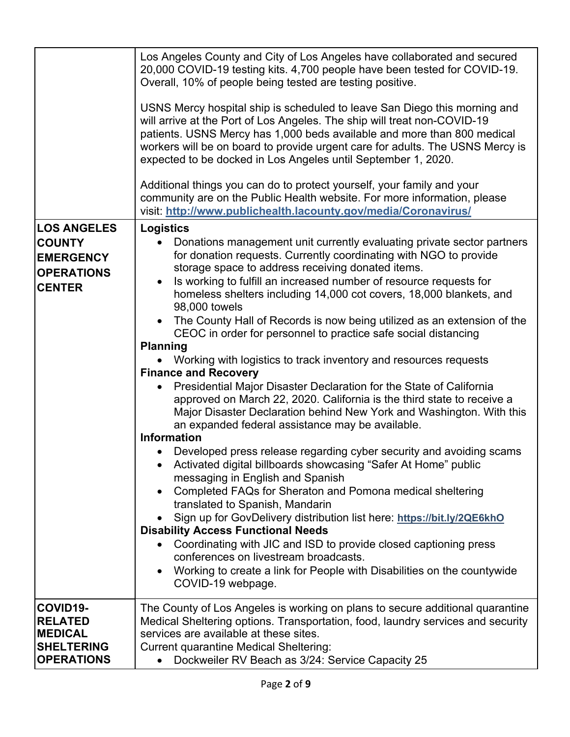|                                                                                               | Los Angeles County and City of Los Angeles have collaborated and secured<br>20,000 COVID-19 testing kits. 4,700 people have been tested for COVID-19.<br>Overall, 10% of people being tested are testing positive.<br>USNS Mercy hospital ship is scheduled to leave San Diego this morning and<br>will arrive at the Port of Los Angeles. The ship will treat non-COVID-19<br>patients. USNS Mercy has 1,000 beds available and more than 800 medical<br>workers will be on board to provide urgent care for adults. The USNS Mercy is                                                                                                                                                                                                                                                                                                                                                                                                                                                                                                                                                                                                                                                                                                                                                                                                                                                                                                                                                                                                                                                                          |
|-----------------------------------------------------------------------------------------------|------------------------------------------------------------------------------------------------------------------------------------------------------------------------------------------------------------------------------------------------------------------------------------------------------------------------------------------------------------------------------------------------------------------------------------------------------------------------------------------------------------------------------------------------------------------------------------------------------------------------------------------------------------------------------------------------------------------------------------------------------------------------------------------------------------------------------------------------------------------------------------------------------------------------------------------------------------------------------------------------------------------------------------------------------------------------------------------------------------------------------------------------------------------------------------------------------------------------------------------------------------------------------------------------------------------------------------------------------------------------------------------------------------------------------------------------------------------------------------------------------------------------------------------------------------------------------------------------------------------|
|                                                                                               | expected to be docked in Los Angeles until September 1, 2020.                                                                                                                                                                                                                                                                                                                                                                                                                                                                                                                                                                                                                                                                                                                                                                                                                                                                                                                                                                                                                                                                                                                                                                                                                                                                                                                                                                                                                                                                                                                                                    |
|                                                                                               | Additional things you can do to protect yourself, your family and your<br>community are on the Public Health website. For more information, please<br>visit: http://www.publichealth.lacounty.gov/media/Coronavirus/                                                                                                                                                                                                                                                                                                                                                                                                                                                                                                                                                                                                                                                                                                                                                                                                                                                                                                                                                                                                                                                                                                                                                                                                                                                                                                                                                                                             |
| <b>LOS ANGELES</b><br><b>COUNTY</b><br><b>EMERGENCY</b><br><b>OPERATIONS</b><br><b>CENTER</b> | <b>Logistics</b><br>Donations management unit currently evaluating private sector partners<br>$\bullet$<br>for donation requests. Currently coordinating with NGO to provide<br>storage space to address receiving donated items.<br>Is working to fulfill an increased number of resource requests for<br>$\bullet$<br>homeless shelters including 14,000 cot covers, 18,000 blankets, and<br>98,000 towels<br>The County Hall of Records is now being utilized as an extension of the<br>$\bullet$<br>CEOC in order for personnel to practice safe social distancing<br><b>Planning</b><br>Working with logistics to track inventory and resources requests<br><b>Finance and Recovery</b><br>Presidential Major Disaster Declaration for the State of California<br>approved on March 22, 2020. California is the third state to receive a<br>Major Disaster Declaration behind New York and Washington. With this<br>an expanded federal assistance may be available.<br><b>Information</b><br>Developed press release regarding cyber security and avoiding scams<br>Activated digital billboards showcasing "Safer At Home" public<br>messaging in English and Spanish<br>Completed FAQs for Sheraton and Pomona medical sheltering<br>translated to Spanish, Mandarin<br>Sign up for GovDelivery distribution list here: https://bit.ly/2QE6khO<br><b>Disability Access Functional Needs</b><br>Coordinating with JIC and ISD to provide closed captioning press<br>conferences on livestream broadcasts.<br>Working to create a link for People with Disabilities on the countywide<br>COVID-19 webpage. |
| COVID19-<br><b>RELATED</b><br><b>MEDICAL</b><br><b>SHELTERING</b><br><b>OPERATIONS</b>        | The County of Los Angeles is working on plans to secure additional quarantine<br>Medical Sheltering options. Transportation, food, laundry services and security<br>services are available at these sites.<br><b>Current quarantine Medical Sheltering:</b><br>Dockweiler RV Beach as 3/24: Service Capacity 25                                                                                                                                                                                                                                                                                                                                                                                                                                                                                                                                                                                                                                                                                                                                                                                                                                                                                                                                                                                                                                                                                                                                                                                                                                                                                                  |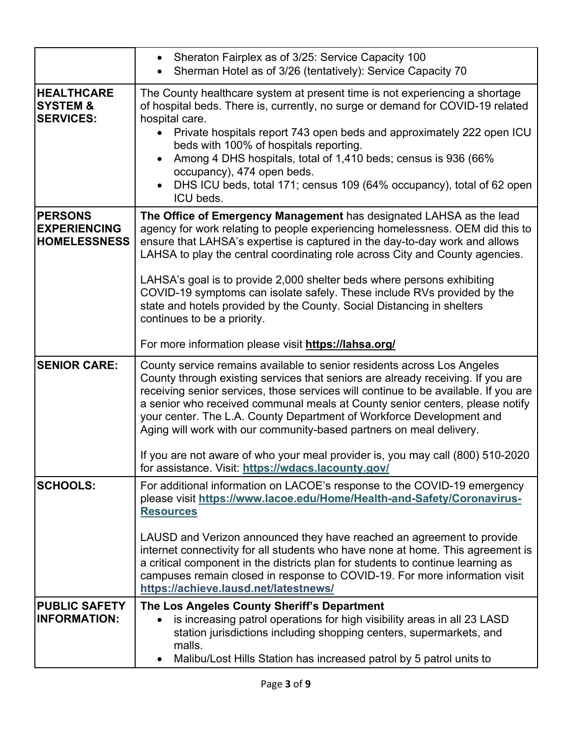|                                                              | Sheraton Fairplex as of 3/25: Service Capacity 100<br>Sherman Hotel as of 3/26 (tentatively): Service Capacity 70                                                                                                                                                                                                                                                                                                                                                                                                                                                                                                                         |
|--------------------------------------------------------------|-------------------------------------------------------------------------------------------------------------------------------------------------------------------------------------------------------------------------------------------------------------------------------------------------------------------------------------------------------------------------------------------------------------------------------------------------------------------------------------------------------------------------------------------------------------------------------------------------------------------------------------------|
| <b>HEALTHCARE</b><br><b>SYSTEM &amp;</b><br><b>SERVICES:</b> | The County healthcare system at present time is not experiencing a shortage<br>of hospital beds. There is, currently, no surge or demand for COVID-19 related<br>hospital care.<br>Private hospitals report 743 open beds and approximately 222 open ICU<br>beds with 100% of hospitals reporting.<br>Among 4 DHS hospitals, total of 1,410 beds; census is 936 (66%<br>occupancy), 474 open beds.<br>DHS ICU beds, total 171; census 109 (64% occupancy), total of 62 open<br>ICU beds.                                                                                                                                                  |
| <b>PERSONS</b><br><b>EXPERIENCING</b><br><b>HOMELESSNESS</b> | The Office of Emergency Management has designated LAHSA as the lead<br>agency for work relating to people experiencing homelessness. OEM did this to<br>ensure that LAHSA's expertise is captured in the day-to-day work and allows<br>LAHSA to play the central coordinating role across City and County agencies.<br>LAHSA's goal is to provide 2,000 shelter beds where persons exhibiting<br>COVID-19 symptoms can isolate safely. These include RVs provided by the<br>state and hotels provided by the County. Social Distancing in shelters<br>continues to be a priority.<br>For more information please visit https://lahsa.org/ |
| <b>SENIOR CARE:</b>                                          | County service remains available to senior residents across Los Angeles<br>County through existing services that seniors are already receiving. If you are<br>receiving senior services, those services will continue to be available. If you are<br>a senior who received communal meals at County senior centers, please notify<br>your center. The L.A. County Department of Workforce Development and<br>Aging will work with our community-based partners on meal delivery.<br>If you are not aware of who your meal provider is, you may call (800) 510-2020<br>for assistance. Visit: https://wdacs.lacounty.gov/                  |
| <b>SCHOOLS:</b>                                              | For additional information on LACOE's response to the COVID-19 emergency<br>please visit https://www.lacoe.edu/Home/Health-and-Safety/Coronavirus-<br><b>Resources</b><br>LAUSD and Verizon announced they have reached an agreement to provide<br>internet connectivity for all students who have none at home. This agreement is<br>a critical component in the districts plan for students to continue learning as<br>campuses remain closed in response to COVID-19. For more information visit<br>https://achieve.lausd.net/latestnews/                                                                                              |
| <b>PUBLIC SAFETY</b><br><b>INFORMATION:</b>                  | The Los Angeles County Sheriff's Department<br>is increasing patrol operations for high visibility areas in all 23 LASD<br>station jurisdictions including shopping centers, supermarkets, and<br>malls.<br>Malibu/Lost Hills Station has increased patrol by 5 patrol units to<br>$\bullet$                                                                                                                                                                                                                                                                                                                                              |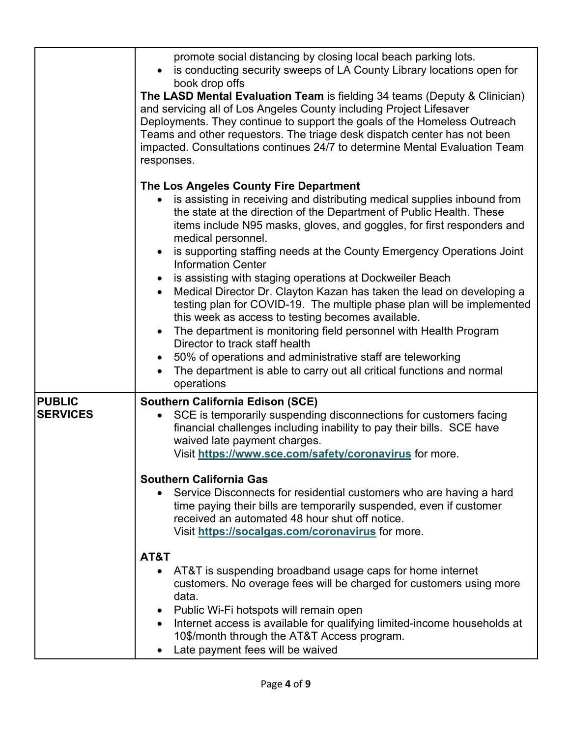|                                  | promote social distancing by closing local beach parking lots.<br>is conducting security sweeps of LA County Library locations open for<br>book drop offs<br>The LASD Mental Evaluation Team is fielding 34 teams (Deputy & Clinician)<br>and servicing all of Los Angeles County including Project Lifesaver<br>Deployments. They continue to support the goals of the Homeless Outreach<br>Teams and other requestors. The triage desk dispatch center has not been<br>impacted. Consultations continues 24/7 to determine Mental Evaluation Team<br>responses.                                                                                                                                                                                                                                                                                                                                                                                                                   |
|----------------------------------|-------------------------------------------------------------------------------------------------------------------------------------------------------------------------------------------------------------------------------------------------------------------------------------------------------------------------------------------------------------------------------------------------------------------------------------------------------------------------------------------------------------------------------------------------------------------------------------------------------------------------------------------------------------------------------------------------------------------------------------------------------------------------------------------------------------------------------------------------------------------------------------------------------------------------------------------------------------------------------------|
|                                  | The Los Angeles County Fire Department<br>is assisting in receiving and distributing medical supplies inbound from<br>$\bullet$<br>the state at the direction of the Department of Public Health. These<br>items include N95 masks, gloves, and goggles, for first responders and<br>medical personnel.<br>is supporting staffing needs at the County Emergency Operations Joint<br><b>Information Center</b><br>is assisting with staging operations at Dockweiler Beach<br>Medical Director Dr. Clayton Kazan has taken the lead on developing a<br>$\bullet$<br>testing plan for COVID-19. The multiple phase plan will be implemented<br>this week as access to testing becomes available.<br>The department is monitoring field personnel with Health Program<br>$\bullet$<br>Director to track staff health<br>50% of operations and administrative staff are teleworking<br>$\bullet$<br>The department is able to carry out all critical functions and normal<br>operations |
| <b>PUBLIC</b><br><b>SERVICES</b> | <b>Southern California Edison (SCE)</b><br>SCE is temporarily suspending disconnections for customers facing<br>$\bullet$<br>financial challenges including inability to pay their bills. SCE have<br>waived late payment charges.                                                                                                                                                                                                                                                                                                                                                                                                                                                                                                                                                                                                                                                                                                                                                  |
|                                  | Visit https://www.sce.com/safety/coronavirus for more.<br><b>Southern California Gas</b><br>Service Disconnects for residential customers who are having a hard<br>time paying their bills are temporarily suspended, even if customer<br>received an automated 48 hour shut off notice.<br>Visit https://socalgas.com/coronavirus for more.                                                                                                                                                                                                                                                                                                                                                                                                                                                                                                                                                                                                                                        |
|                                  | AT&T<br>AT&T is suspending broadband usage caps for home internet<br>customers. No overage fees will be charged for customers using more<br>data.<br>Public Wi-Fi hotspots will remain open<br>Internet access is available for qualifying limited-income households at<br>10\$/month through the AT&T Access program.<br>Late payment fees will be waived                                                                                                                                                                                                                                                                                                                                                                                                                                                                                                                                                                                                                          |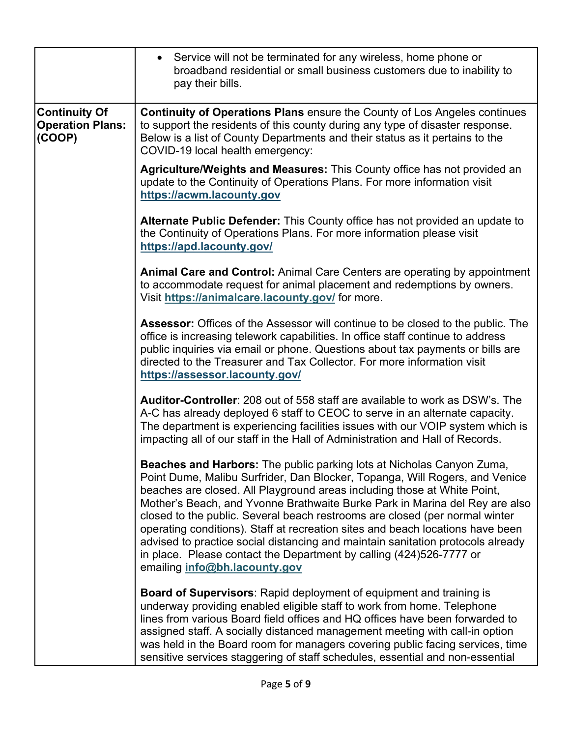|                                                           | Service will not be terminated for any wireless, home phone or<br>broadband residential or small business customers due to inability to<br>pay their bills.                                                                                                                                                                                                                                                                                                                                                                                                                                                                                                                 |
|-----------------------------------------------------------|-----------------------------------------------------------------------------------------------------------------------------------------------------------------------------------------------------------------------------------------------------------------------------------------------------------------------------------------------------------------------------------------------------------------------------------------------------------------------------------------------------------------------------------------------------------------------------------------------------------------------------------------------------------------------------|
| <b>Continuity Of</b><br><b>Operation Plans:</b><br>(COOP) | Continuity of Operations Plans ensure the County of Los Angeles continues<br>to support the residents of this county during any type of disaster response.<br>Below is a list of County Departments and their status as it pertains to the<br>COVID-19 local health emergency:                                                                                                                                                                                                                                                                                                                                                                                              |
|                                                           | Agriculture/Weights and Measures: This County office has not provided an<br>update to the Continuity of Operations Plans. For more information visit<br>https://acwm.lacounty.gov                                                                                                                                                                                                                                                                                                                                                                                                                                                                                           |
|                                                           | <b>Alternate Public Defender:</b> This County office has not provided an update to<br>the Continuity of Operations Plans. For more information please visit<br>https://apd.lacounty.gov/                                                                                                                                                                                                                                                                                                                                                                                                                                                                                    |
|                                                           | Animal Care and Control: Animal Care Centers are operating by appointment<br>to accommodate request for animal placement and redemptions by owners.<br>Visit https://animalcare.lacounty.gov/ for more.                                                                                                                                                                                                                                                                                                                                                                                                                                                                     |
|                                                           | Assessor: Offices of the Assessor will continue to be closed to the public. The<br>office is increasing telework capabilities. In office staff continue to address<br>public inquiries via email or phone. Questions about tax payments or bills are<br>directed to the Treasurer and Tax Collector. For more information visit<br>https://assessor.lacounty.gov/                                                                                                                                                                                                                                                                                                           |
|                                                           | <b>Auditor-Controller:</b> 208 out of 558 staff are available to work as DSW's. The<br>A-C has already deployed 6 staff to CEOC to serve in an alternate capacity.<br>The department is experiencing facilities issues with our VOIP system which is<br>impacting all of our staff in the Hall of Administration and Hall of Records.                                                                                                                                                                                                                                                                                                                                       |
|                                                           | Beaches and Harbors: The public parking lots at Nicholas Canyon Zuma,<br>Point Dume, Malibu Surfrider, Dan Blocker, Topanga, Will Rogers, and Venice<br>beaches are closed. All Playground areas including those at White Point,<br>Mother's Beach, and Yvonne Brathwaite Burke Park in Marina del Rey are also<br>closed to the public. Several beach restrooms are closed (per normal winter<br>operating conditions). Staff at recreation sites and beach locations have been<br>advised to practice social distancing and maintain sanitation protocols already<br>in place. Please contact the Department by calling (424)526-7777 or<br>emailing info@bh.lacounty.gov |
|                                                           | <b>Board of Supervisors: Rapid deployment of equipment and training is</b><br>underway providing enabled eligible staff to work from home. Telephone<br>lines from various Board field offices and HQ offices have been forwarded to<br>assigned staff. A socially distanced management meeting with call-in option<br>was held in the Board room for managers covering public facing services, time<br>sensitive services staggering of staff schedules, essential and non-essential                                                                                                                                                                                       |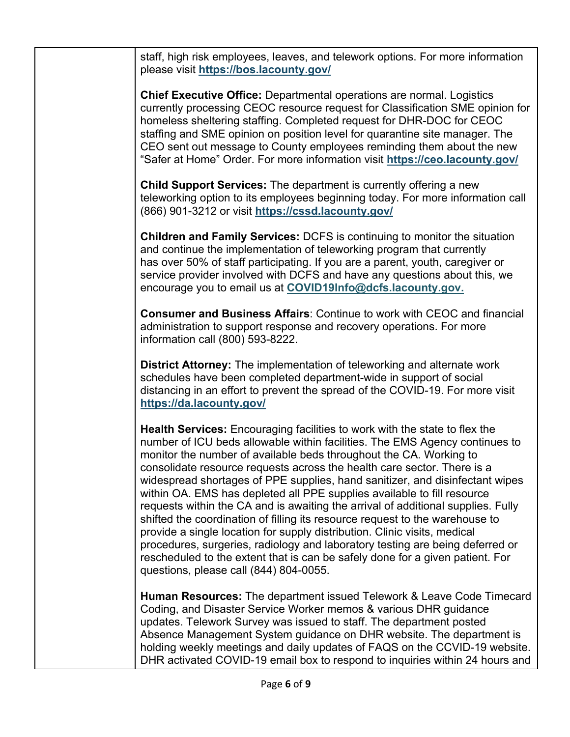staff, high risk employees, leaves, and telework options. For more information please visit **https://bos.lacounty.gov/**

**Chief Executive Office:** Departmental operations are normal. Logistics currently processing CEOC resource request for Classification SME opinion for homeless sheltering staffing. Completed request for DHR-DOC for CEOC staffing and SME opinion on position level for quarantine site manager. The CEO sent out message to County employees reminding them about the new "Safer at Home" Order. For more information visit **https://ceo.lacounty.gov/**

**Child Support Services:** The department is currently offering a new teleworking option to its employees beginning today. For more information call (866) 901-3212 or visit **https://cssd.lacounty.gov/**

**Children and Family Services:** DCFS is continuing to monitor the situation and continue the implementation of teleworking program that currently has over 50% of staff participating. If you are a parent, youth, caregiver or service provider involved with DCFS and have any questions about this, we encourage you to email us at **COVID19Info@dcfs.lacounty.gov.**

**Consumer and Business Affairs**: Continue to work with CEOC and financial administration to support response and recovery operations. For more information call (800) 593-8222.

**District Attorney:** The implementation of teleworking and alternate work schedules have been completed department-wide in support of social distancing in an effort to prevent the spread of the COVID-19. For more visit **https://da.lacounty.gov/**

**Health Services:** Encouraging facilities to work with the state to flex the number of ICU beds allowable within facilities. The EMS Agency continues to monitor the number of available beds throughout the CA. Working to consolidate resource requests across the health care sector. There is a widespread shortages of PPE supplies, hand sanitizer, and disinfectant wipes within OA. EMS has depleted all PPE supplies available to fill resource requests within the CA and is awaiting the arrival of additional supplies. Fully shifted the coordination of filling its resource request to the warehouse to provide a single location for supply distribution. Clinic visits, medical procedures, surgeries, radiology and laboratory testing are being deferred or rescheduled to the extent that is can be safely done for a given patient. For questions, please call (844) 804-0055.

**Human Resources:** The department issued Telework & Leave Code Timecard Coding, and Disaster Service Worker memos & various DHR guidance updates. Telework Survey was issued to staff. The department posted Absence Management System guidance on DHR website. The department is holding weekly meetings and daily updates of FAQS on the CCVID-19 website. DHR activated COVID-19 email box to respond to inquiries within 24 hours and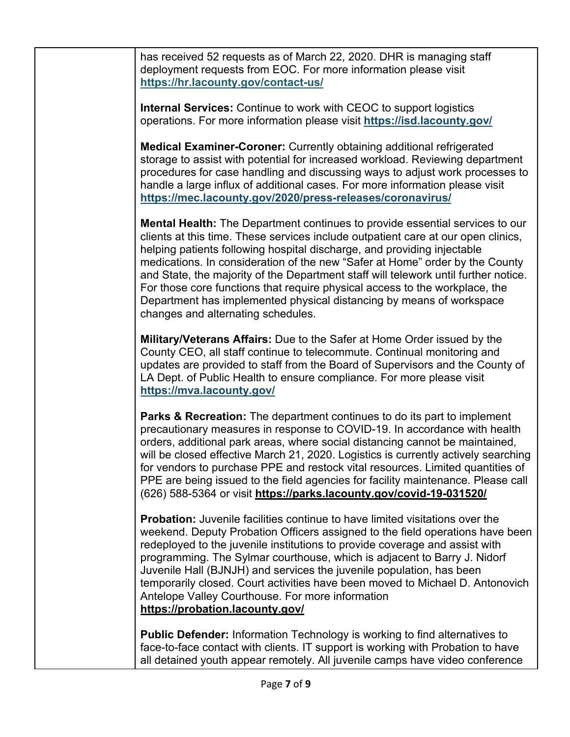has received 52 requests as of March 22, 2020. DHR is managing staff deployment requests from EOC. For more information please visit **https://hr.lacounty.gov/contact-us/**

**Internal Services:** Continue to work with CEOC to support logistics operations. For more information please visit **https://isd.lacounty.gov/**

**Medical Examiner-Coroner:** Currently obtaining additional refrigerated storage to assist with potential for increased workload. Reviewing department procedures for case handling and discussing ways to adjust work processes to handle a large influx of additional cases. For more information please visit **https://mec.lacounty.gov/2020/press-releases/coronavirus/**

**Mental Health:** The Department continues to provide essential services to our clients at this time. These services include outpatient care at our open clinics, helping patients following hospital discharge, and providing injectable medications. In consideration of the new "Safer at Home" order by the County and State, the majority of the Department staff will telework until further notice. For those core functions that require physical access to the workplace, the Department has implemented physical distancing by means of workspace changes and alternating schedules.

**Military/Veterans Affairs:** Due to the Safer at Home Order issued by the County CEO, all staff continue to telecommute. Continual monitoring and updates are provided to staff from the Board of Supervisors and the County of LA Dept. of Public Health to ensure compliance. For more please visit **https://mva.lacounty.gov/**

**Parks & Recreation:** The department continues to do its part to implement precautionary measures in response to COVID-19. In accordance with health orders, additional park areas, where social distancing cannot be maintained, will be closed effective March 21, 2020. Logistics is currently actively searching for vendors to purchase PPE and restock vital resources. Limited quantities of PPE are being issued to the field agencies for facility maintenance. Please call (626) 588-5364 or visit **https://parks.lacounty.gov/covid-19-031520/**

**Probation:** Juvenile facilities continue to have limited visitations over the weekend. Deputy Probation Officers assigned to the field operations have been redeployed to the juvenile institutions to provide coverage and assist with programming. The Sylmar courthouse, which is adjacent to Barry J. Nidorf Juvenile Hall (BJNJH) and services the juvenile population, has been temporarily closed. Court activities have been moved to Michael D. Antonovich Antelope Valley Courthouse. For more information **https://probation.lacounty.gov/**

**Public Defender:** Information Technology is working to find alternatives to face-to-face contact with clients. IT support is working with Probation to have all detained youth appear remotely. All juvenile camps have video conference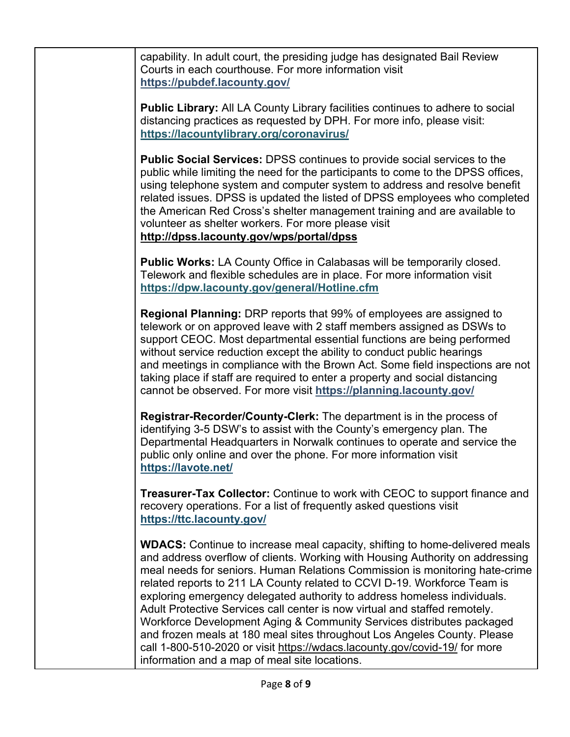capability. In adult court, the presiding judge has designated Bail Review Courts in each courthouse. For more information visit **https://pubdef.lacounty.gov/**

**Public Library:** All LA County Library facilities continues to adhere to social distancing practices as requested by DPH. For more info, please visit: **https://lacountylibrary.org/coronavirus/**

**Public Social Services:** DPSS continues to provide social services to the public while limiting the need for the participants to come to the DPSS offices, using telephone system and computer system to address and resolve benefit related issues. DPSS is updated the listed of DPSS employees who completed the American Red Cross's shelter management training and are available to volunteer as shelter workers. For more please visit **http://dpss.lacounty.gov/wps/portal/dpss**

**Public Works:** LA County Office in Calabasas will be temporarily closed. Telework and flexible schedules are in place. For more information visit **https://dpw.lacounty.gov/general/Hotline.cfm**

**Regional Planning:** DRP reports that 99% of employees are assigned to telework or on approved leave with 2 staff members assigned as DSWs to support CEOC. Most departmental essential functions are being performed without service reduction except the ability to conduct public hearings and meetings in compliance with the Brown Act. Some field inspections are not taking place if staff are required to enter a property and social distancing cannot be observed. For more visit **https://planning.lacounty.gov/**

**Registrar-Recorder/County-Clerk:** The department is in the process of identifying 3-5 DSW's to assist with the County's emergency plan. The Departmental Headquarters in Norwalk continues to operate and service the public only online and over the phone. For more information visit **https://lavote.net/**

**Treasurer-Tax Collector:** Continue to work with CEOC to support finance and recovery operations. For a list of frequently asked questions visit **https://ttc.lacounty.gov/**

**WDACS:** Continue to increase meal capacity, shifting to home-delivered meals and address overflow of clients. Working with Housing Authority on addressing meal needs for seniors. Human Relations Commission is monitoring hate-crime related reports to 211 LA County related to CCVI D-19. Workforce Team is exploring emergency delegated authority to address homeless individuals. Adult Protective Services call center is now virtual and staffed remotely. Workforce Development Aging & Community Services distributes packaged and frozen meals at 180 meal sites throughout Los Angeles County. Please call 1-800-510-2020 or visit https://wdacs.lacounty.gov/covid-19/ for more information and a map of meal site locations.